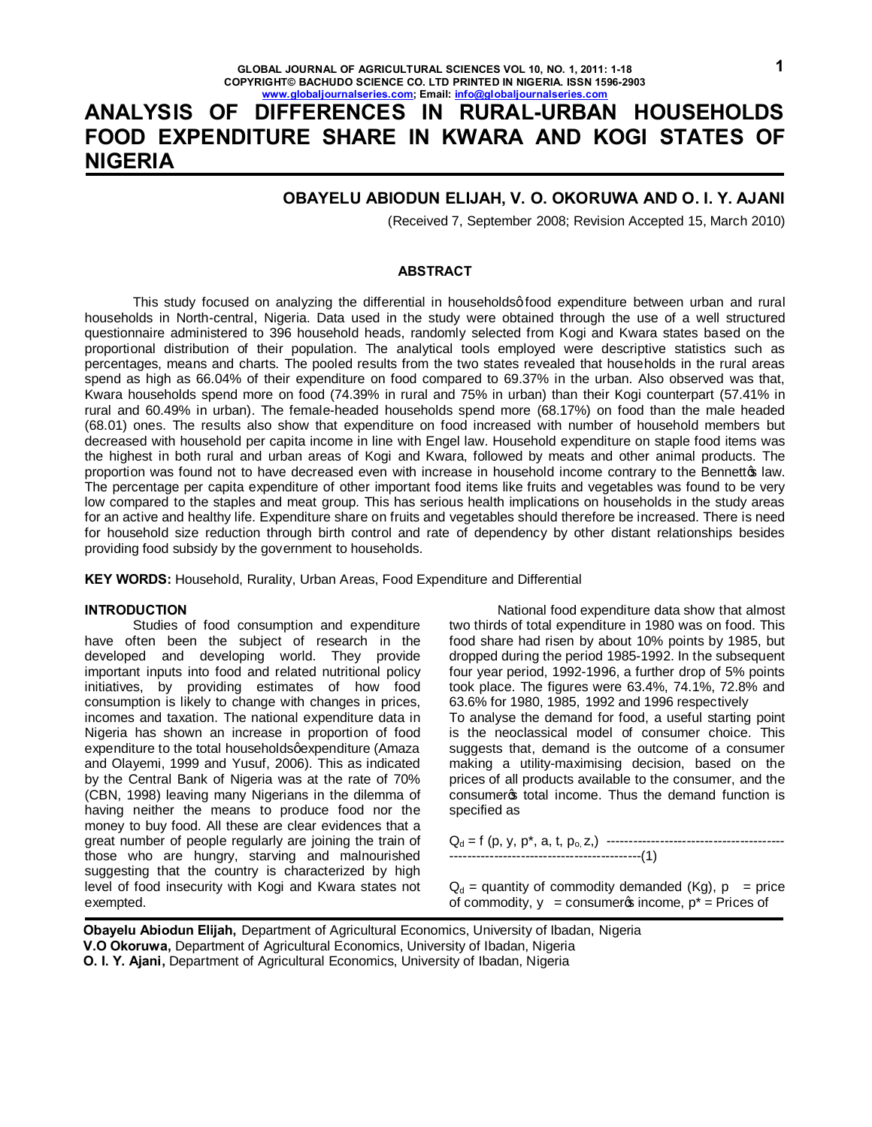# **ANALYSIS OF DIFFERENCES IN RURAL-URBAN HOUSEHOLDS FOOD EXPENDITURE SHARE IN KWARA AND KOGI STATES OF NIGERIA**

## **OBAYELU ABIODUN ELIJAH, V. O. OKORUWA AND O. I. Y. AJANI**

(Received 7, September 2008; Revision Accepted 15, March 2010)

### **ABSTRACT**

This study focused on analyzing the differential in households a food expenditure between urban and rural households in North-central, Nigeria. Data used in the study were obtained through the use of a well structured questionnaire administered to 396 household heads, randomly selected from Kogi and Kwara states based on the proportional distribution of their population. The analytical tools employed were descriptive statistics such as percentages, means and charts. The pooled results from the two states revealed that households in the rural areas spend as high as 66.04% of their expenditure on food compared to 69.37% in the urban. Also observed was that, Kwara households spend more on food (74.39% in rural and 75% in urban) than their Kogi counterpart (57.41% in rural and 60.49% in urban). The female-headed households spend more (68.17%) on food than the male headed (68.01) ones. The results also show that expenditure on food increased with number of household members but decreased with household per capita income in line with Engel law. Household expenditure on staple food items was the highest in both rural and urban areas of Kogi and Kwara, followed by meats and other animal products. The proportion was found not to have decreased even with increase in household income contrary to the Bennettos law. The percentage per capita expenditure of other important food items like fruits and vegetables was found to be very low compared to the staples and meat group. This has serious health implications on households in the study areas for an active and healthy life. Expenditure share on fruits and vegetables should therefore be increased. There is need for household size reduction through birth control and rate of dependency by other distant relationships besides providing food subsidy by the government to households.

**KEY WORDS:** Household, Rurality, Urban Areas, Food Expenditure and Differential

### **INTRODUCTION**

Studies of food consumption and expenditure have often been the subject of research in the developed and developing world. They provide important inputs into food and related nutritional policy initiatives, by providing estimates of how food consumption is likely to change with changes in prices, incomes and taxation. The national expenditure data in Nigeria has shown an increase in proportion of food expenditure to the total householdsqexpenditure (Amaza and Olayemi, 1999 and Yusuf, 2006). This as indicated by the Central Bank of Nigeria was at the rate of 70% (CBN, 1998) leaving many Nigerians in the dilemma of having neither the means to produce food nor the money to buy food. All these are clear evidences that a great number of people regularly are joining the train of those who are hungry, starving and malnourished suggesting that the country is characterized by high level of food insecurity with Kogi and Kwara states not exempted.

National food expenditure data show that almost two thirds of total expenditure in 1980 was on food. This food share had risen by about 10% points by 1985, but dropped during the period 1985-1992. In the subsequent four year period, 1992-1996, a further drop of 5% points took place. The figures were 63.4%, 74.1%, 72.8% and 63.6% for 1980, 1985, 1992 and 1996 respectively To analyse the demand for food, a useful starting point is the neoclassical model of consumer choice. This suggests that, demand is the outcome of a consumer making a utility-maximising decision, based on the prices of all products available to the consumer, and the consumeros total income. Thus the demand function is specified as

$$
Q_d = f(p, y, p^*, a, t, p_0, z,)
$$
  
-----  
-----  
-----(1)

 $Q_d$  = quantity of commodity demanded (Kg),  $p = price$ of commodity,  $y = \text{consumers income}, p^* = \text{Prices of}$ 

**Obayelu Abiodun Elijah,** Department of Agricultural Economics, University of Ibadan, Nigeria **V.O Okoruwa,** Department of Agricultural Economics, University of Ibadan, Nigeria **O. I. Y. Ajani,** Department of Agricultural Economics, University of Ibadan, Nigeria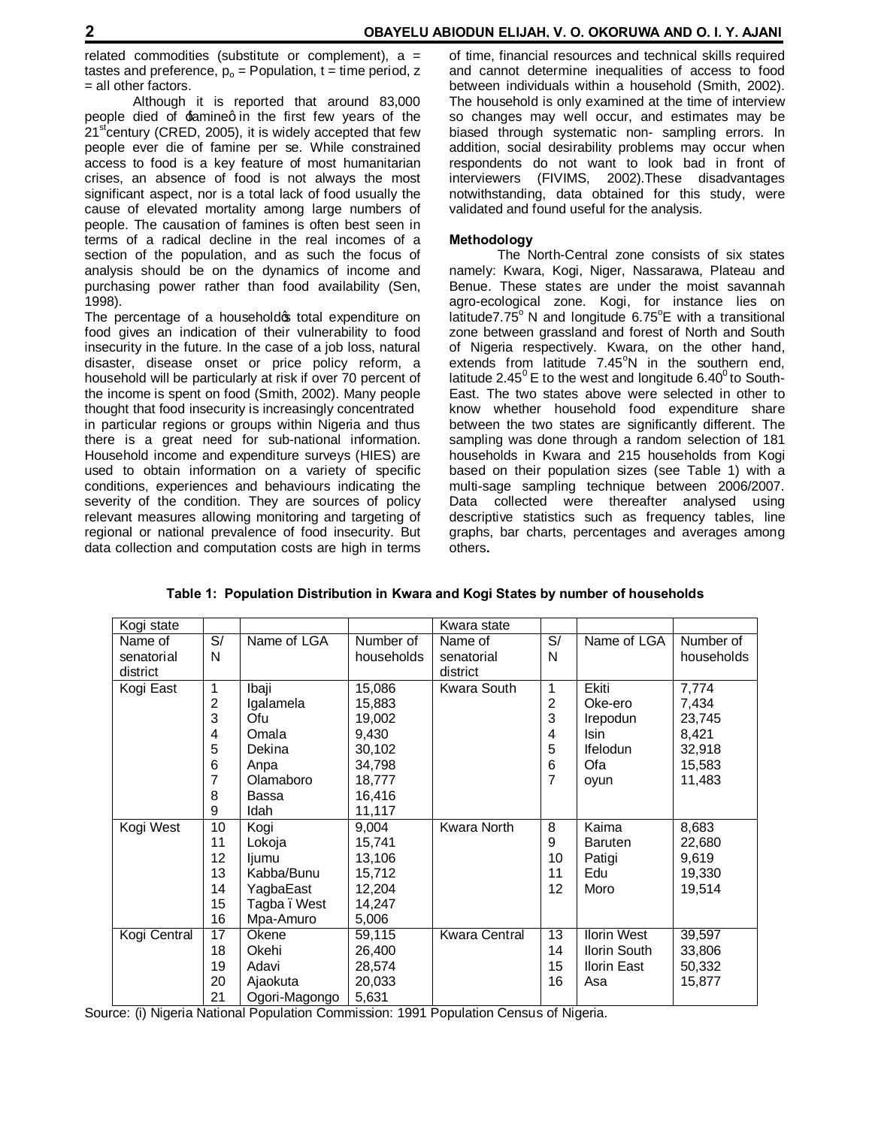related commodities (substitute or complement),  $a =$ tastes and preference,  $p_0$  = Population,  $t =$  time period, z = all other factors.

Although it is reported that around 83,000 people died of  $f$ amineq in the first few years of the  $21<sup>st</sup>$ century (CRED, 2005), it is widely accepted that few people ever die of famine per se. While constrained access to food is a key feature of most humanitarian crises, an absence of food is not always the most significant aspect, nor is a total lack of food usually the cause of elevated mortality among large numbers of people. The causation of famines is often best seen in terms of a radical decline in the real incomes of a section of the population, and as such the focus of analysis should be on the dynamics of income and purchasing power rather than food availability (Sen, 1998).

The percentage of a household of total expenditure on food gives an indication of their vulnerability to food insecurity in the future. In the case of a job loss, natural disaster, disease onset or price policy reform, a household will be particularly at risk if over 70 percent of the income is spent on food (Smith, 2002). Many people thought that food insecurity is increasingly concentrated in particular regions or groups within Nigeria and thus there is a great need for sub-national information. Household income and expenditure surveys (HIES) are used to obtain information on a variety of specific conditions, experiences and behaviours indicating the severity of the condition. They are sources of policy relevant measures allowing monitoring and targeting of regional or national prevalence of food insecurity. But data collection and computation costs are high in terms

of time, financial resources and technical skills required and cannot determine inequalities of access to food between individuals within a household (Smith, 2002). The household is only examined at the time of interview so changes may well occur, and estimates may be biased through systematic non- sampling errors. In addition, social desirability problems may occur when respondents do not want to look bad in front of interviewers (FIVIMS, 2002).These disadvantages notwithstanding, data obtained for this study, were validated and found useful for the analysis.

## **Methodology**

The North-Central zone consists of six states namely: Kwara, Kogi, Niger, Nassarawa, Plateau and Benue. These states are under the moist savannah agro-ecological zone. Kogi, for instance lies on latitude7.75 $^{\circ}$  N and longitude 6.75 $^{\circ}$ E with a transitional zone between grassland and forest of North and South of Nigeria respectively. Kwara, on the other hand, extends from latitude  $7.45^{\circ}$ N in the southern end, latitude 2.45 $^{\circ}$  E to the west and longitude 6.40 $^{\circ}$  to South-East. The two states above were selected in other to know whether household food expenditure share between the two states are significantly different. The sampling was done through a random selection of 181 households in Kwara and 215 households from Kogi based on their population sizes (see Table 1) with a multi-sage sampling technique between 2006/2007. Data collected were thereafter analysed using descriptive statistics such as frequency tables, line graphs, bar charts, percentages and averages among others**.**

| Table 1:  Population Distribution in Kwara and Kogi States by number of households |  |  |  |  |  |
|------------------------------------------------------------------------------------|--|--|--|--|--|
|------------------------------------------------------------------------------------|--|--|--|--|--|

| Kogi state   |    |               |            | Kwara state          |                |                     |            |
|--------------|----|---------------|------------|----------------------|----------------|---------------------|------------|
| Name of      | S/ | Name of LGA   | Number of  | Name of              | $\overline{s}$ | Name of LGA         | Number of  |
| senatorial   | N  |               | households | senatorial           | N              |                     | households |
| district     |    |               |            | district             |                |                     |            |
| Kogi East    | 1  | Ibaji         | 15,086     | Kwara South          | 1              | Ekiti               | 7,774      |
|              | 2  | Igalamela     | 15,883     |                      | $\overline{c}$ | Oke-ero             | 7,434      |
|              | 3  | Ofu           | 19,002     |                      | 3              | Irepodun            | 23,745     |
|              | 4  | Omala         | 9,430      |                      | 4              | Isin.               | 8,421      |
|              | 5  | Dekina        | 30,102     |                      | 5              | <b>Ifelodun</b>     | 32,918     |
|              | 6  | Anpa          | 34,798     |                      | 6              | Ofa                 | 15,583     |
|              | 7  | Olamaboro     | 18,777     |                      | 7              | oyun                | 11,483     |
|              | 8  | Bassa         | 16,416     |                      |                |                     |            |
|              | 9  | Idah          | 11,117     |                      |                |                     |            |
| Kogi West    | 10 | Kogi          | 9,004      | Kwara North          | 8              | Kaima               | 8,683      |
|              | 11 | Lokoja        | 15,741     |                      | 9              | <b>Baruten</b>      | 22,680     |
|              | 12 | ljumu         | 13,106     |                      | 10             | Patigi              | 9,619      |
|              | 13 | Kabba/Bunu    | 15,712     |                      | 11             | Edu                 | 19,330     |
|              | 14 | YagbaEast     | 12,204     |                      | 12             | Moro                | 19,514     |
|              | 15 | Tagba. West   | 14,247     |                      |                |                     |            |
|              | 16 | Mpa-Amuro     | 5,006      |                      |                |                     |            |
| Kogi Central | 17 | Okene         | 59,115     | <b>Kwara Central</b> | 13             | <b>Ilorin West</b>  | 39,597     |
|              | 18 | Okehi         | 26,400     |                      | 14             | <b>Ilorin South</b> | 33,806     |
|              | 19 | Adavi         | 28,574     |                      | 15             | Ilorin East         | 50,332     |
|              | 20 | Ajaokuta      | 20,033     |                      | 16             | Asa                 | 15,877     |
|              | 21 | Ogori-Magongo | 5,631      |                      |                |                     |            |

Source: (i) Nigeria National Population Commission: 1991 Population Census of Nigeria.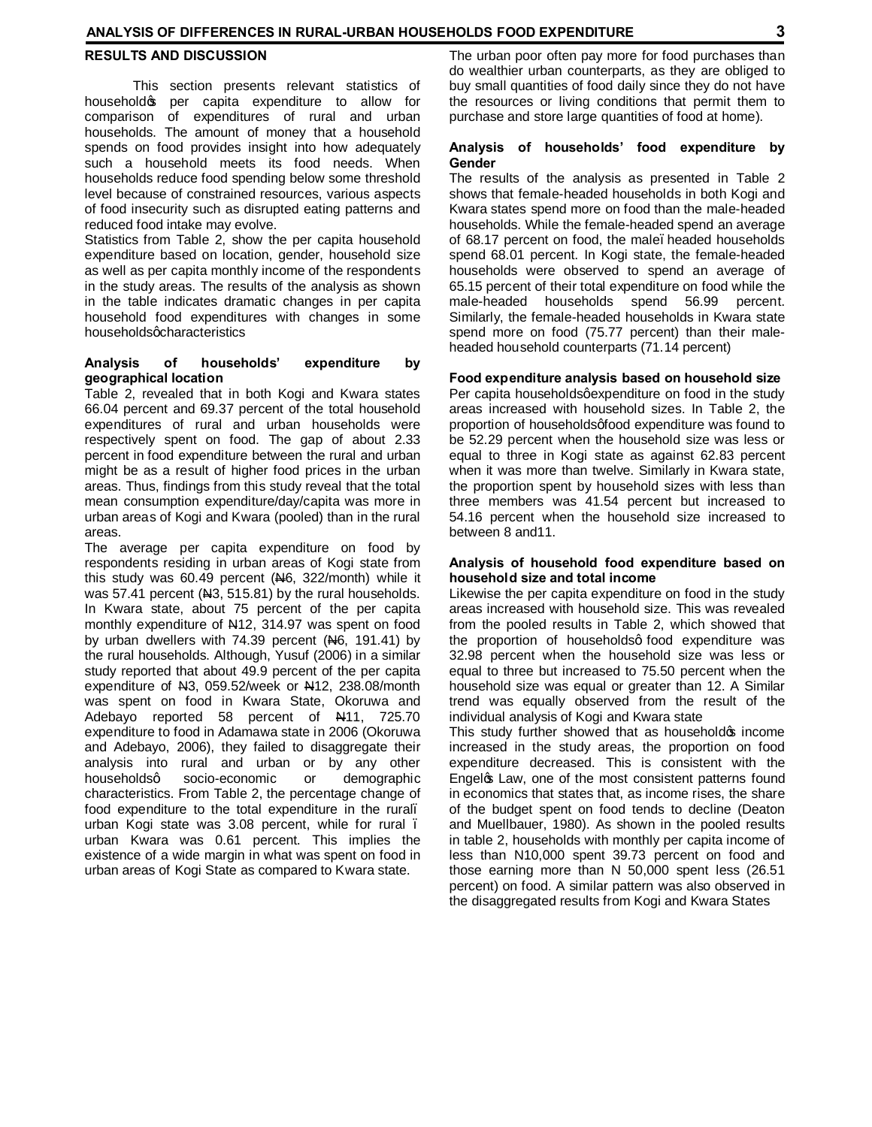### **RESULTS AND DISCUSSION**

This section presents relevant statistics of household oper capita expenditure to allow for comparison of expenditures of rural and urban households. The amount of money that a household spends on food provides insight into how adequately such a household meets its food needs. When households reduce food spending below some threshold level because of constrained resources, various aspects of food insecurity such as disrupted eating patterns and reduced food intake may evolve.

Statistics from Table 2, show the per capita household expenditure based on location, gender, household size as well as per capita monthly income of the respondents in the study areas. The results of the analysis as shown in the table indicates dramatic changes in per capita household food expenditures with changes in some householdsgcharacteristics

## **Analysis of households' expenditure by geographical location**

Table 2, revealed that in both Kogi and Kwara states 66.04 percent and 69.37 percent of the total household expenditures of rural and urban households were respectively spent on food. The gap of about 2.33 percent in food expenditure between the rural and urban might be as a result of higher food prices in the urban areas. Thus, findings from this study reveal that the total mean consumption expenditure/day/capita was more in urban areas of Kogi and Kwara (pooled) than in the rural areas.

The average per capita expenditure on food by respondents residing in urban areas of Kogi state from this study was  $60.49$  percent ( $H_6$ , 322/month) while it was 57.41 percent ( $\mu$ 3, 515.81) by the rural households. In Kwara state, about 75 percent of the per capita monthly expenditure of N12, 314.97 was spent on food by urban dwellers with 74.39 percent (N6, 191.41) by the rural households. Although, Yusuf (2006) in a similar study reported that about 49.9 percent of the per capita expenditure of N3, 059.52/week or N12, 238.08/month was spent on food in Kwara State, Okoruwa and Adebayo reported 58 percent of N411, 725.70 expenditure to food in Adamawa state in 2006 (Okoruwa and Adebayo, 2006), they failed to disaggregate their analysis into rural and urban or by any other householdsq socio-economic or demographic characteristics. From Table 2, the percentage change of food expenditure to the total expenditure in the rural. urban Kogi state was 3.08 percent, while for rural. urban Kwara was 0.61 percent. This implies the existence of a wide margin in what was spent on food in urban areas of Kogi State as compared to Kwara state.

The urban poor often pay more for food purchases than do wealthier urban counterparts, as they are obliged to buy small quantities of food daily since they do not have the resources or living conditions that permit them to purchase and store large quantities of food at home).

## **Analysis of households' food expenditure by Gender**

The results of the analysis as presented in Table 2 shows that female-headed households in both Kogi and Kwara states spend more on food than the male-headed households. While the female-headed spend an average of 68.17 percent on food, the male. headed households spend 68.01 percent. In Kogi state, the female-headed households were observed to spend an average of 65.15 percent of their total expenditure on food while the male-headed households spend 56.99 percent. Similarly, the female-headed households in Kwara state spend more on food (75.77 percent) than their maleheaded household counterparts (71.14 percent)

#### **Food expenditure analysis based on household size**

Per capita households gexpenditure on food in the study areas increased with household sizes. In Table 2, the proportion of households gfood expenditure was found to be 52.29 percent when the household size was less or equal to three in Kogi state as against 62.83 percent when it was more than twelve. Similarly in Kwara state, the proportion spent by household sizes with less than three members was 41.54 percent but increased to 54.16 percent when the household size increased to between 8 and11.

### **Analysis of household food expenditure based on household size and total income**

Likewise the per capita expenditure on food in the study areas increased with household size. This was revealed from the pooled results in Table 2, which showed that the proportion of householdsq food expenditure was 32.98 percent when the household size was less or equal to three but increased to 75.50 percent when the household size was equal or greater than 12. A Similar trend was equally observed from the result of the individual analysis of Kogi and Kwara state

This study further showed that as household op income increased in the study areas, the proportion on food expenditure decreased. This is consistent with the Engelos Law, one of the most consistent patterns found in economics that states that, as income rises, the share of the budget spent on food tends to decline (Deaton and Muellbauer, 1980). As shown in the pooled results in table 2, households with monthly per capita income of less than N10,000 spent 39.73 percent on food and those earning more than N 50,000 spent less (26.51 percent) on food. A similar pattern was also observed in the disaggregated results from Kogi and Kwara States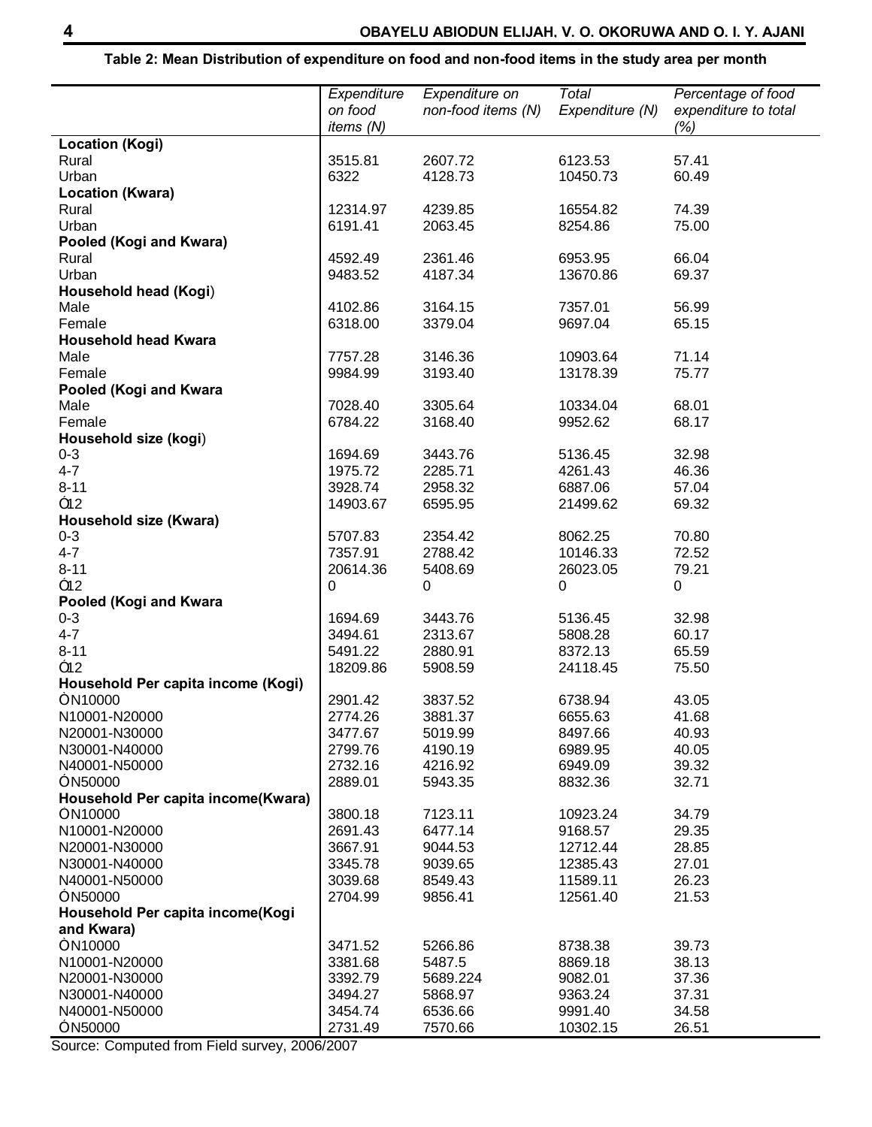# **Table 2: Mean Distribution of expenditure on food and non-food items in the study area per month**

|                                    | Expenditure | Expenditure on     | Total           | Percentage of food   |
|------------------------------------|-------------|--------------------|-----------------|----------------------|
|                                    | on food     | non-food items (N) | Expenditure (N) | expenditure to total |
|                                    | items (N)   |                    |                 | (%)                  |
| <b>Location (Kogi)</b>             |             |                    |                 |                      |
| Rural                              | 3515.81     | 2607.72            | 6123.53         | 57.41                |
| Urban                              | 6322        | 4128.73            | 10450.73        | 60.49                |
| <b>Location (Kwara)</b>            |             |                    |                 |                      |
| Rural                              | 12314.97    | 4239.85            | 16554.82        | 74.39                |
| Urban                              | 6191.41     | 2063.45            | 8254.86         | 75.00                |
| Pooled (Kogi and Kwara)            |             |                    |                 |                      |
| Rural                              | 4592.49     | 2361.46            | 6953.95         | 66.04                |
| Urban                              | 9483.52     | 4187.34            | 13670.86        | 69.37                |
| Household head (Kogi)              |             |                    |                 |                      |
| Male                               | 4102.86     | 3164.15            | 7357.01         | 56.99                |
| Female                             | 6318.00     | 3379.04            | 9697.04         | 65.15                |
| <b>Household head Kwara</b>        |             |                    |                 |                      |
| Male                               | 7757.28     | 3146.36            | 10903.64        | 71.14                |
| Female                             | 9984.99     | 3193.40            | 13178.39        | 75.77                |
| Pooled (Kogi and Kwara             |             |                    |                 |                      |
| Male                               | 7028.40     | 3305.64            | 10334.04        | 68.01                |
| Female                             | 6784.22     | 3168.40            | 9952.62         | 68.17                |
| Household size (kogi)              |             |                    |                 |                      |
| $0 - 3$                            | 1694.69     | 3443.76            | 5136.45         | 32.98                |
| $4 - 7$                            | 1975.72     | 2285.71            | 4261.43         | 46.36                |
| $8 - 11$                           | 3928.74     | 2958.32            | 6887.06         | 57.04                |
| $-12$                              | 14903.67    | 6595.95            | 21499.62        | 69.32                |
| Household size (Kwara)             |             |                    |                 |                      |
| $0 - 3$                            | 5707.83     | 2354.42            | 8062.25         | 70.80                |
| $4 - 7$                            | 7357.91     | 2788.42            | 10146.33        | 72.52                |
| $8 - 11$                           | 20614.36    | 5408.69            | 26023.05        | 79.21                |
| $-12$                              | 0           | 0                  | 0               | 0                    |
| Pooled (Kogi and Kwara             |             |                    |                 |                      |
| $0 - 3$                            | 1694.69     | 3443.76            | 5136.45         | 32.98                |
| $4 - 7$                            | 3494.61     | 2313.67            | 5808.28         | 60.17                |
| $8 - 11$                           | 5491.22     | 2880.91            | 8372.13         | 65.59                |
| $-12$                              | 18209.86    | 5908.59            | 24118.45        | 75.50                |
| Household Per capita income (Kogi) |             |                    |                 |                      |
| mN10000                            | 2901.42     | 3837.52            | 6738.94         | 43.05                |
| N10001-N20000                      | 2774.26     | 3881.37            | 6655.63         | 41.68                |
| N20001-N30000                      | 3477.67     | 5019.99            | 8497.66         | 40.93                |
| N30001-N40000                      | 2799.76     | 4190.19            | 6989.95         | 40.05                |
| N40001-N50000                      | 2732.16     | 4216.92            | 6949.09         | 39.32                |
| $^-$ N50000                        | 2889.01     | 5943.35            | 8832.36         | 32.71                |
| Household Per capita income(Kwara) |             |                    |                 |                      |
| mN10000                            | 3800.18     | 7123.11            | 10923.24        | 34.79                |
| N10001-N20000                      | 2691.43     | 6477.14            | 9168.57         | 29.35                |
| N20001-N30000                      | 3667.91     | 9044.53            | 12712.44        | 28.85                |
| N30001-N40000                      | 3345.78     | 9039.65            | 12385.43        | 27.01                |
| N40001-N50000                      | 3039.68     | 8549.43            | 11589.11        | 26.23                |
| $^-$ N50000                        | 2704.99     | 9856.41            | 12561.40        | 21.53                |
| Household Per capita income(Kogi   |             |                    |                 |                      |
| and Kwara)                         |             |                    |                 |                      |
| mN10000                            | 3471.52     | 5266.86            | 8738.38         | 39.73                |
| N10001-N20000                      | 3381.68     | 5487.5             | 8869.18         | 38.13                |
| N20001-N30000                      | 3392.79     | 5689.224           | 9082.01         | 37.36                |
| N30001-N40000                      | 3494.27     | 5868.97            | 9363.24         | 37.31                |
| N40001-N50000                      | 3454.74     | 6536.66            | 9991.40         | 34.58                |
| N50000                             | 2731.49     | 7570.66            | 10302.15        | 26.51                |
|                                    |             |                    |                 |                      |

Source: Computed from Field survey, 2006/2007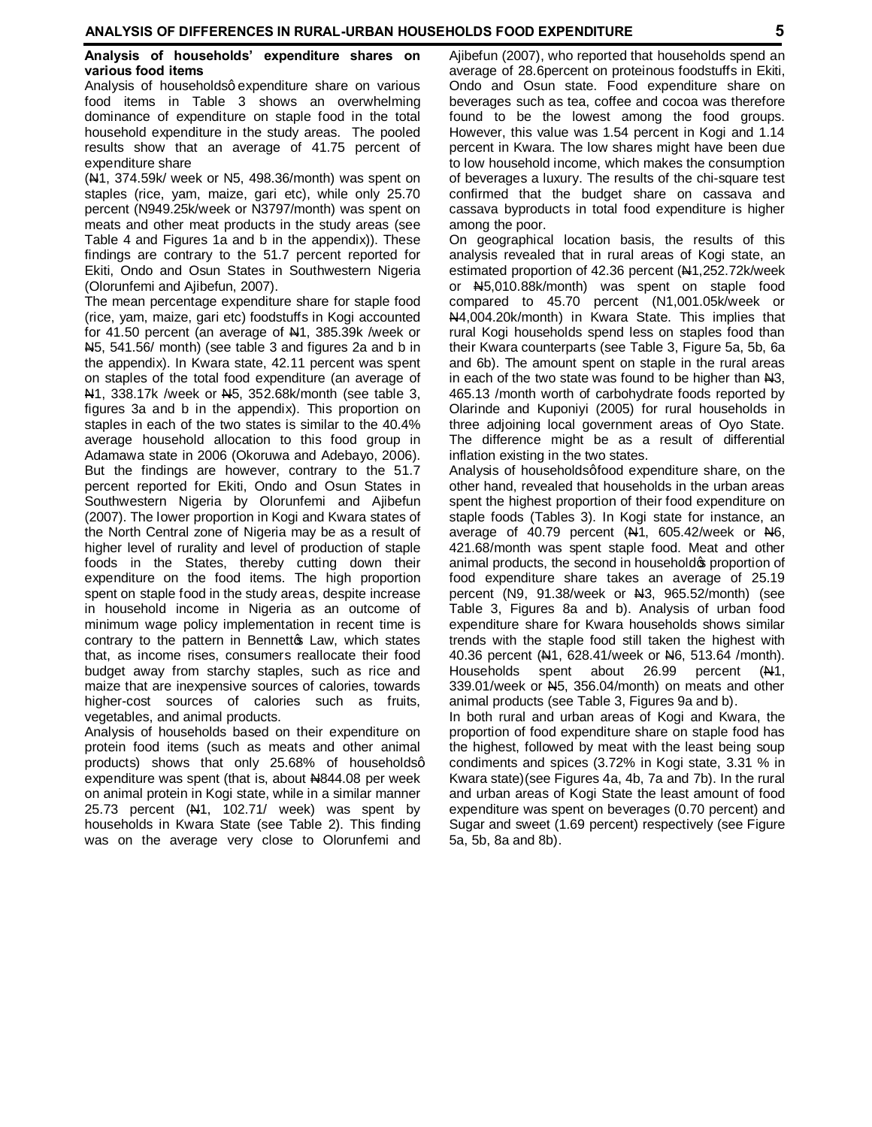## **Analysis of households' expenditure shares on various food items**

Analysis of householdsg expenditure share on various food items in Table 3 shows an overwhelming dominance of expenditure on staple food in the total household expenditure in the study areas. The pooled results show that an average of 41.75 percent of expenditure share

(N1, 374.59k/ week or N5, 498.36/month) was spent on staples (rice, yam, maize, gari etc), while only 25.70 percent (N949.25k/week or N3797/month) was spent on meats and other meat products in the study areas (see Table 4 and Figures 1a and b in the appendix)). These findings are contrary to the 51.7 percent reported for Ekiti, Ondo and Osun States in Southwestern Nigeria (Olorunfemi and Ajibefun, 2007).

The mean percentage expenditure share for staple food (rice, yam, maize, gari etc) foodstuffs in Kogi accounted for 41.50 percent (an average of  $\mu$ 1, 385.39k /week or N5, 541.56/ month) (see table 3 and figures 2a and b in the appendix). In Kwara state, 42.11 percent was spent on staples of the total food expenditure (an average of N<sub>1</sub>, 338.17k /week or N<sub>1</sub>5, 352.68k/month (see table 3, figures 3a and b in the appendix). This proportion on staples in each of the two states is similar to the 40.4% average household allocation to this food group in Adamawa state in 2006 (Okoruwa and Adebayo, 2006). But the findings are however, contrary to the 51.7 percent reported for Ekiti, Ondo and Osun States in Southwestern Nigeria by Olorunfemi and Ajibefun (2007). The lower proportion in Kogi and Kwara states of the North Central zone of Nigeria may be as a result of higher level of rurality and level of production of staple foods in the States, thereby cutting down their expenditure on the food items. The high proportion spent on staple food in the study areas, despite increase in household income in Nigeria as an outcome of minimum wage policy implementation in recent time is contrary to the pattern in Bennetto Law, which states that, as income rises, consumers reallocate their food budget away from starchy staples, such as rice and maize that are inexpensive sources of calories, towards higher-cost sources of calories such as fruits, vegetables, and animal products.

Analysis of households based on their expenditure on protein food items (such as meats and other animal products) shows that only 25.68% of householdsg expenditure was spent (that is, about  $N844.08$  per week on animal protein in Kogi state, while in a similar manner 25.73 percent  $(A1, 102.71/$  week) was spent by households in Kwara State (see Table 2). This finding was on the average very close to Olorunfemi and

Ajibefun (2007), who reported that households spend an average of 28.6percent on proteinous foodstuffs in Ekiti, Ondo and Osun state. Food expenditure share on beverages such as tea, coffee and cocoa was therefore found to be the lowest among the food groups. However, this value was 1.54 percent in Kogi and 1.14 percent in Kwara. The low shares might have been due to low household income, which makes the consumption of beverages a luxury. The results of the chi-square test confirmed that the budget share on cassava and cassava byproducts in total food expenditure is higher among the poor.

On geographical location basis, the results of this analysis revealed that in rural areas of Kogi state, an estimated proportion of 42.36 percent (N1,252.72k/week or N5,010.88k/month) was spent on staple food compared to 45.70 percent (N1,001.05k/week or N4,004.20k/month) in Kwara State. This implies that rural Kogi households spend less on staples food than their Kwara counterparts (see Table 3, Figure 5a, 5b, 6a and 6b). The amount spent on staple in the rural areas in each of the two state was found to be higher than  $N3$ , 465.13 /month worth of carbohydrate foods reported by Olarinde and Kuponiyi (2005) for rural households in three adjoining local government areas of Oyo State. The difference might be as a result of differential inflation existing in the two states.

Analysis of households afood expenditure share, on the other hand, revealed that households in the urban areas spent the highest proportion of their food expenditure on staple foods (Tables 3). In Kogi state for instance, an average of 40.79 percent  $(H1, 605.42/week$  or  $H6$ , 421.68/month was spent staple food. Meat and other animal products, the second in household proportion of food expenditure share takes an average of 25.19 percent (N9,  $91.38$ /week or  $\text{A}3$ ,  $965.52$ /month) (see Table 3, Figures 8a and b). Analysis of urban food expenditure share for Kwara households shows similar trends with the staple food still taken the highest with 40.36 percent (N<sup>e</sup>1, 628.41/week or No<sub>6</sub>, 513.64 /month). Households spent about 26.99 percent (N1, 339.01/week or N5, 356.04/month) on meats and other animal products (see Table 3, Figures 9a and b).

In both rural and urban areas of Kogi and Kwara, the proportion of food expenditure share on staple food has the highest, followed by meat with the least being soup condiments and spices (3.72% in Kogi state, 3.31 % in Kwara state)(see Figures 4a, 4b, 7a and 7b). In the rural and urban areas of Kogi State the least amount of food expenditure was spent on beverages (0.70 percent) and Sugar and sweet (1.69 percent) respectively (see Figure 5a, 5b, 8a and 8b).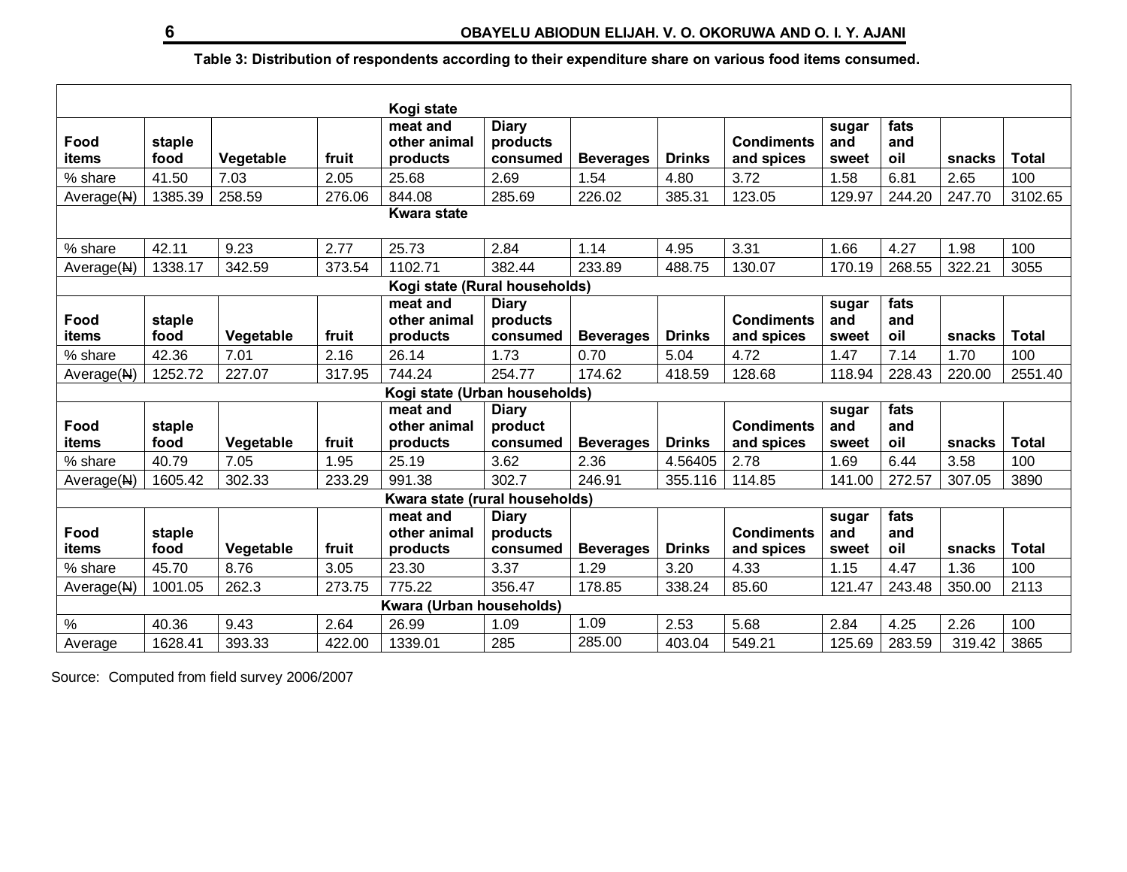# **Table 3: Distribution of respondents according to their expenditure share on various food items consumed.**

| Kogi state         |                          |                   |        |                                      |                                      |                          |               |                                 |                       |                    |        |              |
|--------------------|--------------------------|-------------------|--------|--------------------------------------|--------------------------------------|--------------------------|---------------|---------------------------------|-----------------------|--------------------|--------|--------------|
| Food<br>items      | staple<br>food           | Vegetable         | fruit  | meat and<br>other animal<br>products | <b>Diary</b><br>products<br>consumed | <b>Beverages</b>         | <b>Drinks</b> | <b>Condiments</b><br>and spices | sugar<br>and<br>sweet | fats<br>and<br>oil | snacks | <b>Total</b> |
| % share            | 41.50                    | 7.03              | 2.05   | 25.68                                | 2.69                                 | 1.54                     | 4.80          | 3.72                            | 1.58                  | 6.81               | 2.65   | 100          |
| Average(N)         | 1385.39                  | 258.59            | 276.06 | 844.08                               | 285.69                               | 226.02                   | 385.31        | 123.05                          | 129.97                | 244.20             | 247.70 | 3102.65      |
| <b>Kwara state</b> |                          |                   |        |                                      |                                      |                          |               |                                 |                       |                    |        |              |
| % share            | 42.11                    | 9.23              | 2.77   | 25.73                                | 2.84                                 | 1.14                     | 4.95          | 3.31                            | 1.66                  | 4.27               | 1.98   | 100          |
| Average(N)         | 1338.17                  | 342.59            | 373.54 | 1102.71                              | 382.44                               | 233.89                   | 488.75        | 130.07                          | 170.19                | 268.55             | 322.21 | 3055         |
|                    |                          |                   |        | Kogi state (Rural households)        |                                      |                          |               |                                 |                       |                    |        |              |
| Food               | staple                   |                   |        | meat and<br>other animal             | <b>Diary</b><br>products             |                          |               | <b>Condiments</b>               | sugar<br>and          | fats<br>and        |        |              |
| items              | food                     | Vegetable         | fruit  | products                             | consumed                             | <b>Beverages</b>         | <b>Drinks</b> | and spices                      | sweet                 | oil                | snacks | <b>Total</b> |
| % share            | 42.36                    | 7.01              | 2.16   | 26.14                                | 1.73                                 | 0.70                     | 5.04          | 4.72                            | 1.47                  | 7.14               | 1.70   | 100          |
| Average(N)         | 1252.72                  | 227.07            | 317.95 | 744.24                               | 254.77                               | 174.62                   | 418.59        | 128.68                          | 118.94                | 228.43             | 220.00 | 2551.40      |
|                    |                          |                   |        | Kogi state (Urban households)        |                                      |                          |               |                                 |                       |                    |        |              |
|                    |                          |                   |        | meat and                             | <b>Diary</b>                         |                          |               |                                 | sugar                 | fats               |        |              |
| Food<br>items      | staple<br>food           |                   | fruit  | other animal                         | product<br>consumed                  |                          | <b>Drinks</b> | <b>Condiments</b>               | and<br>sweet          | and<br>oil         | snacks | <b>Total</b> |
| % share            | 40.79                    | Vegetable<br>7.05 | 1.95   | products<br>25.19                    | 3.62                                 | <b>Beverages</b><br>2.36 | 4.56405       | and spices<br>2.78              | 1.69                  | 6.44               | 3.58   | 100          |
|                    | 1605.42                  | 302.33            | 233.29 | 991.38                               | 302.7                                | 246.91                   | 355.116       | 114.85                          | 141.00                | 272.57             | 307.05 | 3890         |
| Average(N)         |                          |                   |        | Kwara state (rural households)       |                                      |                          |               |                                 |                       |                    |        |              |
|                    |                          |                   |        | meat and                             | <b>Diary</b>                         |                          |               |                                 | sugar                 | fats               |        |              |
| Food               | staple                   |                   |        | other animal                         | products                             |                          |               | <b>Condiments</b>               | and                   | and                |        |              |
| items              | food                     | Vegetable         | fruit  | products                             | consumed                             | <b>Beverages</b>         | <b>Drinks</b> | and spices                      | sweet                 | oil                | snacks | <b>Total</b> |
| % share            | 45.70                    | 8.76              | 3.05   | 23.30                                | 3.37                                 | 1.29                     | 3.20          | 4.33                            | 1.15                  | 4.47               | 1.36   | 100          |
| Average(N)         | 1001.05                  | 262.3             | 273.75 | 775.22                               | 356.47                               | 178.85                   | 338.24        | 85.60                           | 121.47                | 243.48             | 350.00 | 2113         |
|                    | Kwara (Urban households) |                   |        |                                      |                                      |                          |               |                                 |                       |                    |        |              |
| $\frac{0}{0}$      | 40.36                    | 9.43              | 2.64   | 26.99                                | 1.09                                 | 1.09                     | 2.53          | 5.68                            | 2.84                  | 4.25               | 2.26   | 100          |
| Average            | 1628.41                  | 393.33            | 422.00 | 1339.01                              | 285                                  | 285.00                   | 403.04        | 549.21                          | 125.69                | 283.59             | 319.42 | 3865         |

Source: Computed from field survey 2006/2007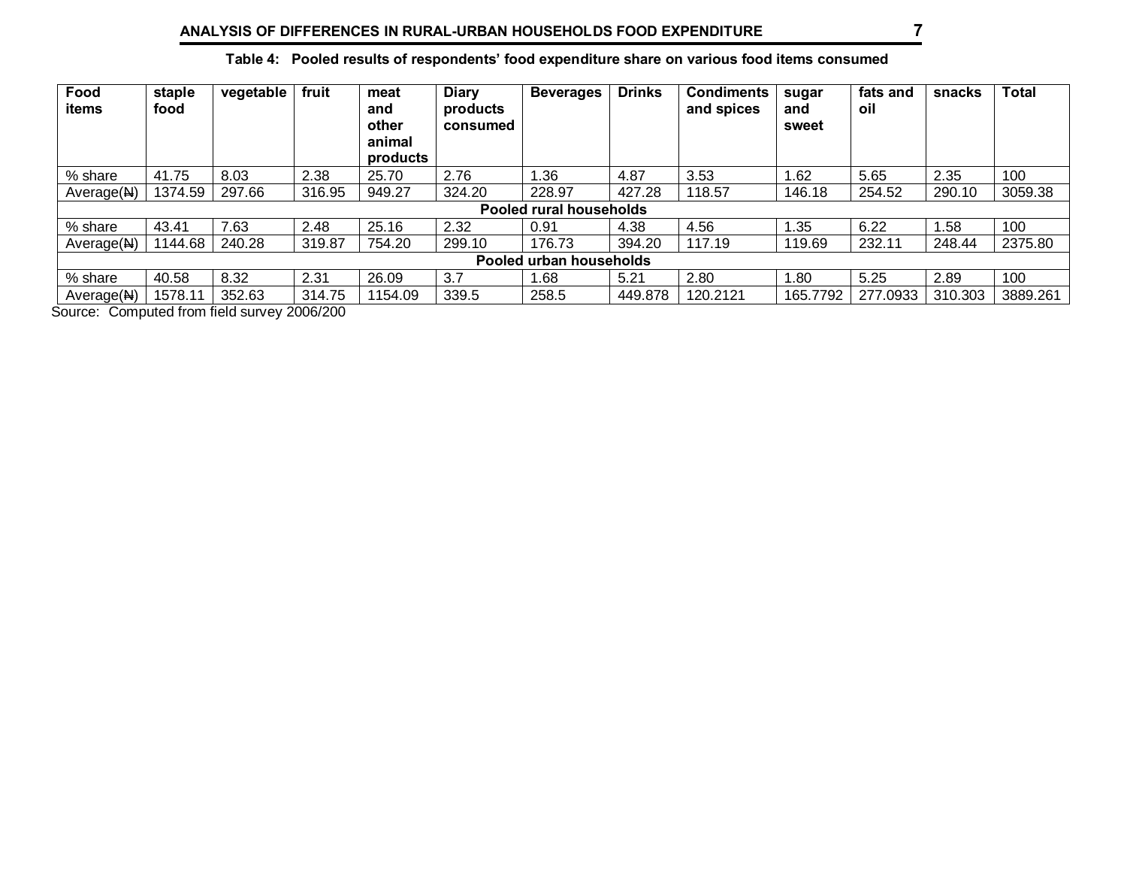| Food<br>items           | staple<br>food          | vegetable | fruit  | meat<br>and<br>other<br>animal<br>products | <b>Diary</b><br>products<br>consumed | <b>Beverages</b> | <b>Drinks</b> | <b>Condiments</b><br>and spices | sugar<br>and<br>sweet | fats and<br>oil | snacks  | <b>Total</b> |
|-------------------------|-------------------------|-----------|--------|--------------------------------------------|--------------------------------------|------------------|---------------|---------------------------------|-----------------------|-----------------|---------|--------------|
| % share                 | 41.75                   | 8.03      | 2.38   | 25.70                                      | 2.76                                 | l.36             | 4.87          | 3.53                            | 1.62                  | 5.65            | 2.35    | 100          |
| Average(N)              | 1374.59                 | 297.66    | 316.95 | 949.27                                     | 324.20                               | 228.97           | 427.28        | 118.57                          | 146.18                | 254.52          | 290.10  | 3059.38      |
|                         | Pooled rural households |           |        |                                            |                                      |                  |               |                                 |                       |                 |         |              |
| % share                 | 43.41                   | 7.63      | 2.48   | 25.16                                      | 2.32                                 | 0.91             | 4.38          | 4.56                            | 1.35                  | 6.22            | 1.58    | 100          |
| Average(M)              | 1144.68                 | 240.28    | 319.87 | 754.20                                     | 299.10                               | 176.73           | 394.20        | 117.19                          | 119.69                | 232.11          | 248.44  | 2375.80      |
| Pooled urban households |                         |           |        |                                            |                                      |                  |               |                                 |                       |                 |         |              |
| % share                 | 40.58                   | 8.32      | 2.31   | 26.09                                      | 3.7                                  | 1.68             | 5.21          | 2.80                            | 1.80                  | 5.25            | 2.89    | 100          |
| Average(M)              | 1578.11                 | 352.63    | 314.75 | 1154.09                                    | 339.5                                | 258.5            | 449.878       | 120.2121                        | 165.7792              | 277.0933        | 310.303 | 3889.261     |

## **Table 4: Pooled results of respondents' food expenditure share on various food items consumed**

Source: Computed from field survey 2006/200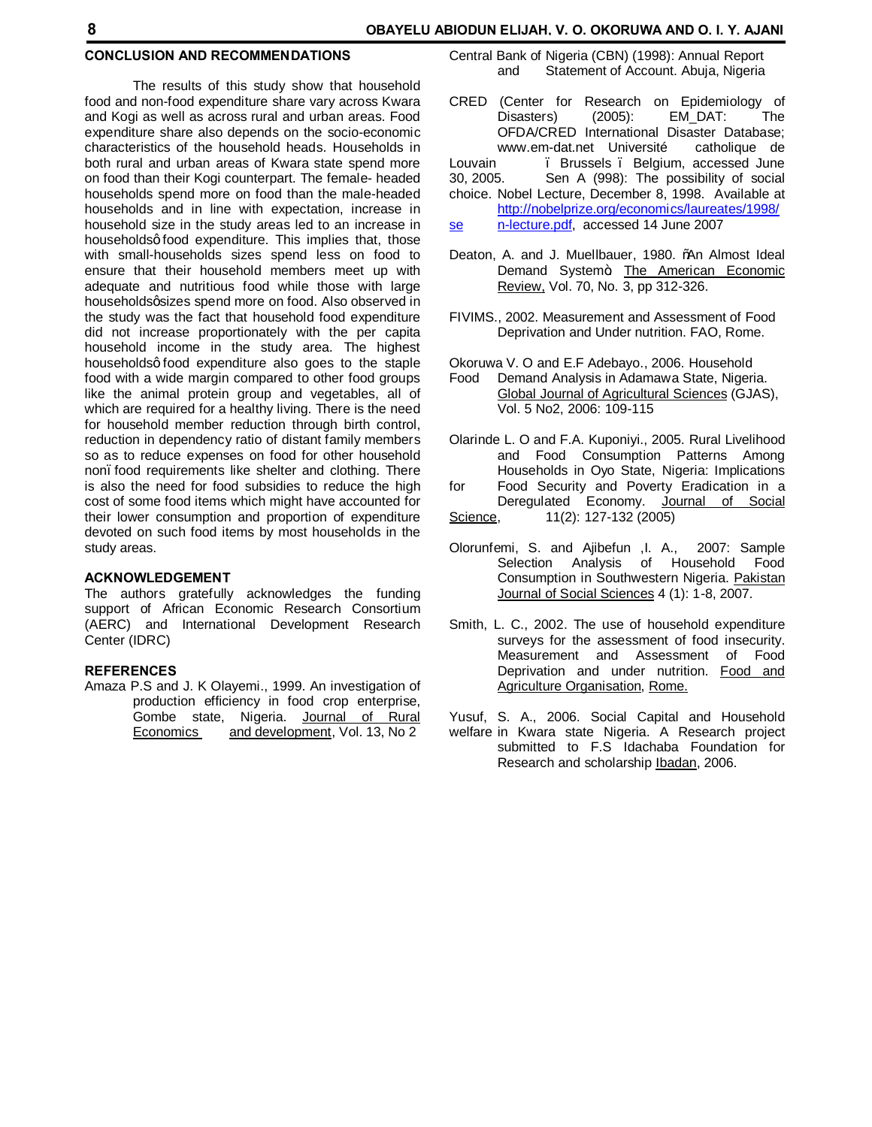### **8 OBAYELU ABIODUN ELIJAH, V. O. OKORUWA AND O. I. Y. AJANI**

## **CONCLUSION AND RECOMMENDATIONS**

The results of this study show that household food and non-food expenditure share vary across Kwara and Kogi as well as across rural and urban areas. Food expenditure share also depends on the socio-economic characteristics of the household heads. Households in both rural and urban areas of Kwara state spend more on food than their Kogi counterpart. The female- headed households spend more on food than the male-headed households and in line with expectation, increase in household size in the study areas led to an increase in householdsg food expenditure. This implies that, those with small-households sizes spend less on food to ensure that their household members meet up with adequate and nutritious food while those with large householdsgsizes spend more on food. Also observed in the study was the fact that household food expenditure did not increase proportionately with the per capita household income in the study area. The highest householdsg food expenditure also goes to the staple food with a wide margin compared to other food groups like the animal protein group and vegetables, all of which are required for a healthy living. There is the need for household member reduction through birth control, reduction in dependency ratio of distant family members so as to reduce expenses on food for other household non. food requirements like shelter and clothing. There is also the need for food subsidies to reduce the high cost of some food items which might have accounted for their lower consumption and proportion of expenditure devoted on such food items by most households in the study areas.

### **ACKNOWLEDGEMENT**

The authors gratefully acknowledges the funding support of African Economic Research Consortium (AERC) and International Development Research Center (IDRC)

### **REFERENCES**

Amaza P.S and J. K Olayemi., 1999. An investigation of production efficiency in food crop enterprise, Gombe state, Nigeria. Journal of Rural Economics and development, Vol. 13, No 2

- Central Bank of Nigeria (CBN) (1998): Annual Report and Statement of Account. Abuja, Nigeria
- CRED (Center for Research on Epidemiology of Disasters) (2005): EM\_DAT: The OFDA/CRED International Disaster Database; www.em-dat.net Université catholique de<br>Louvain . Brussels Belgium accessed June . Brussels . Belgium, accessed June 30, 2005. Sen A (998): The possibility of social choice. Nobel Lecture, December 8, 1998. Available at http://nobelprize.org/economics/laureates/1998/
- se n-lecture.pdf, accessed 14 June 2007
- Deaton, A. and J. Muellbauer, 1980. %An Almost Ideal Demand System+ The American Economic Review, Vol. 70, No. 3, pp 312-326.
- FIVIMS., 2002. Measurement and Assessment of Food Deprivation and Under nutrition. FAO, Rome.

Okoruwa V. O and E.F Adebayo., 2006. Household

- Food Demand Analysis in Adamawa State, Nigeria. Global Journal of Agricultural Sciences (GJAS), Vol. 5 No2, 2006: 109-115
- Olarinde L. O and F.A. Kuponiyi., 2005. Rural Livelihood and Food Consumption Patterns Among Households in Oyo State, Nigeria: Implications
- for Food Security and Poverty Eradication in a Deregulated Economy. Journal of Social
- Science, 11(2): 127-132 (2005)
- Olorunfemi, S. and Ajibefun ,I. A., 2007: Sample Selection Analysis of Household Food Consumption in Southwestern Nigeria. Pakistan Journal of Social Sciences 4 (1): 1-8, 2007.
- Smith, L. C., 2002. The use of household expenditure surveys for the assessment of food insecurity. Measurement and Assessment of Food Deprivation and under nutrition. Food and Agriculture Organisation, Rome.
- Yusuf, S. A., 2006. Social Capital and Household welfare in Kwara state Nigeria. A Research project submitted to F.S Idachaba Foundation for Research and scholarship Ibadan, 2006.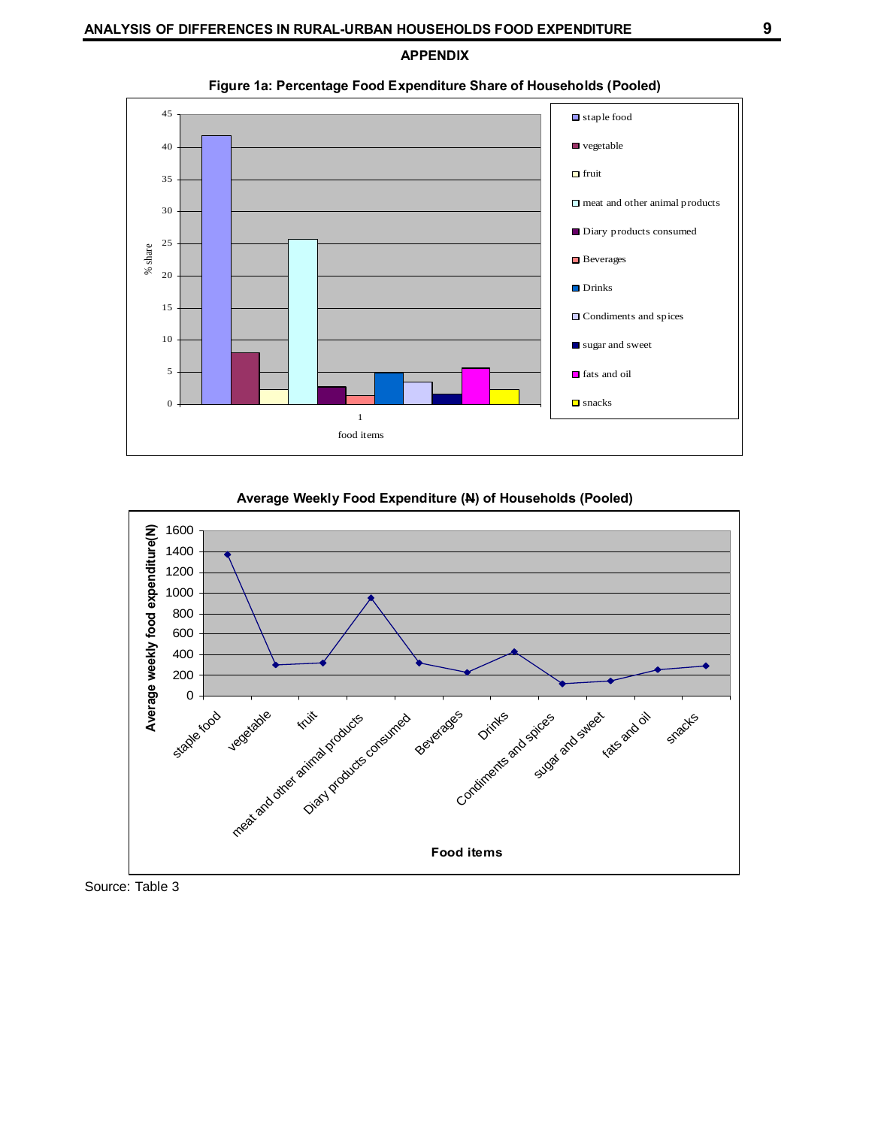**APPENDIX**



**Figure 1a: Percentage Food Expenditure Share of Households (Pooled)**

### **Average Weekly Food Expenditure (N) of Households (Pooled)**



Source: Table 3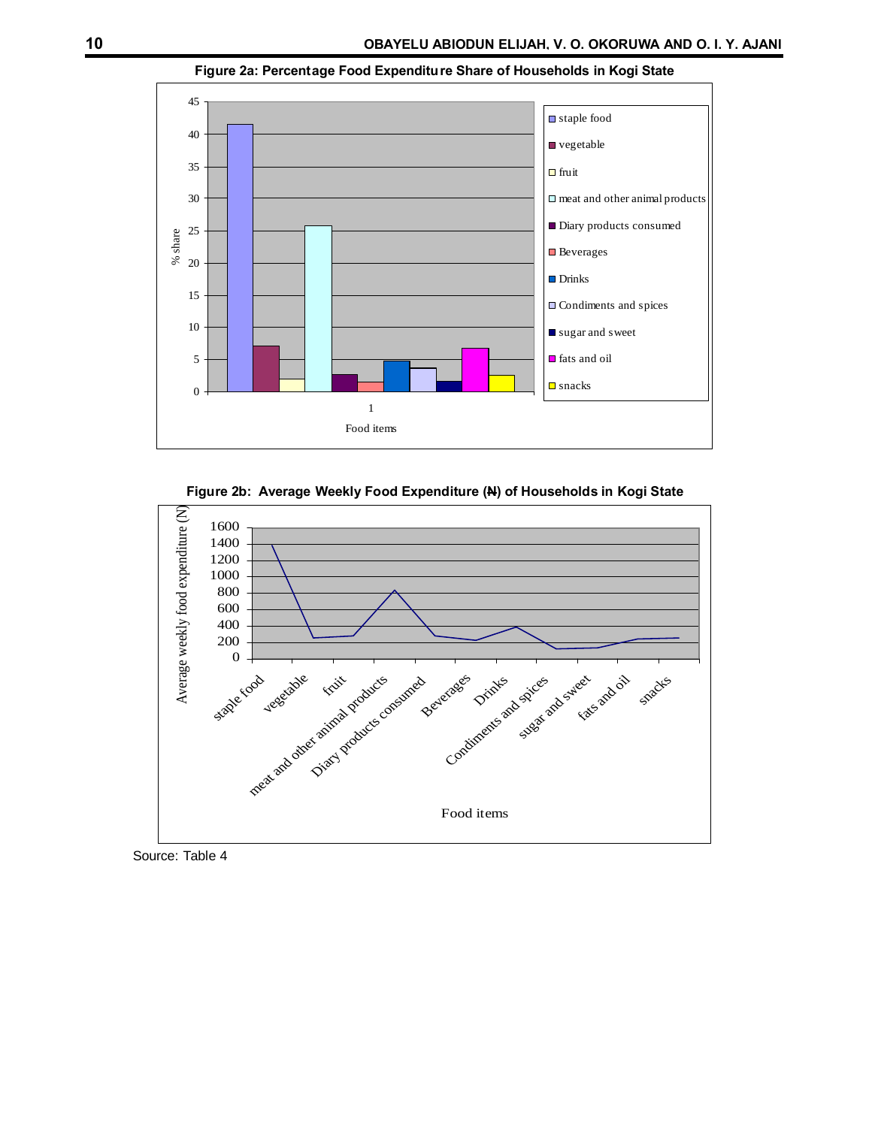

### **Figure 2a: Percentage Food Expenditure Share of Households in Kogi State**





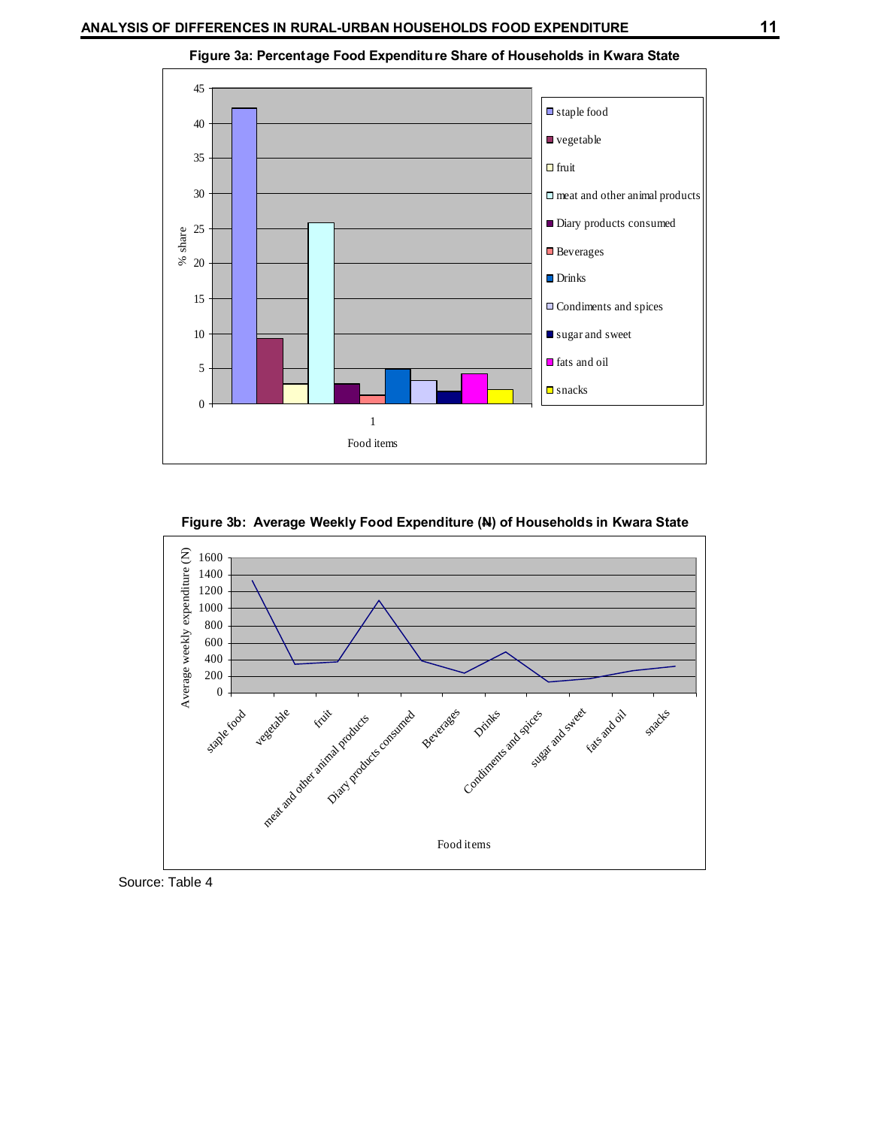

**Figure 3a: Percentage Food Expenditure Share of Households in Kwara State**





Source: Table 4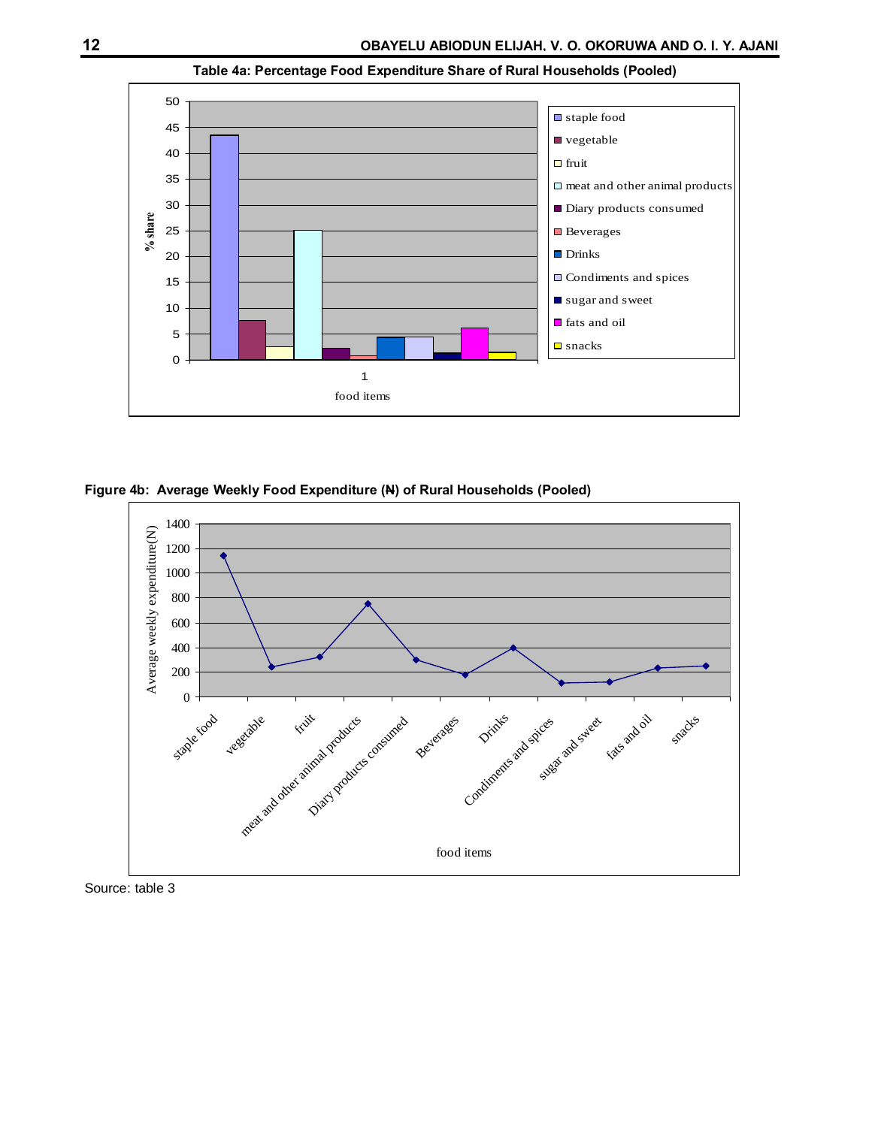

**Table 4a: Percentage Food Expenditure Share of Rural Households (Pooled)**

**Figure 4b: Average Weekly Food Expenditure (N) of Rural Households (Pooled)**



Source: table 3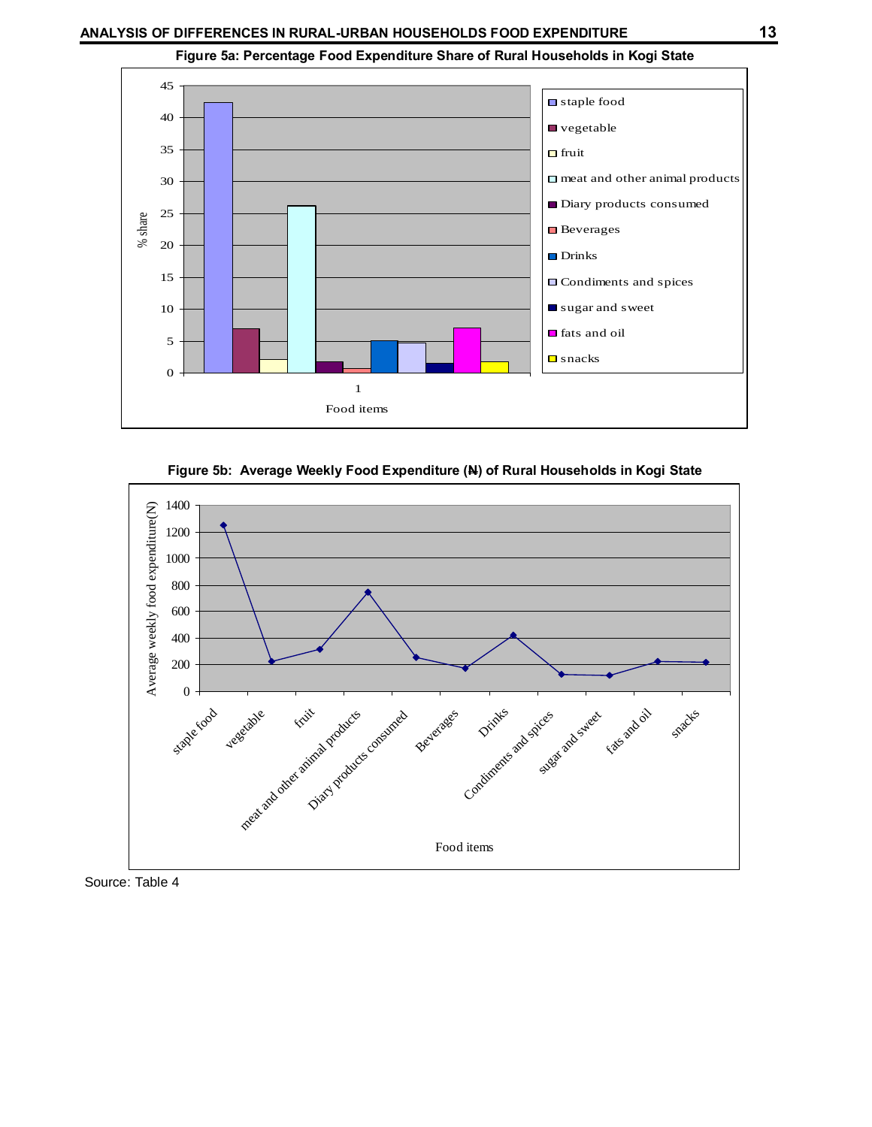

**Figure 5a: Percentage Food Expenditure Share of Rural Households in Kogi State**





Source: Table 4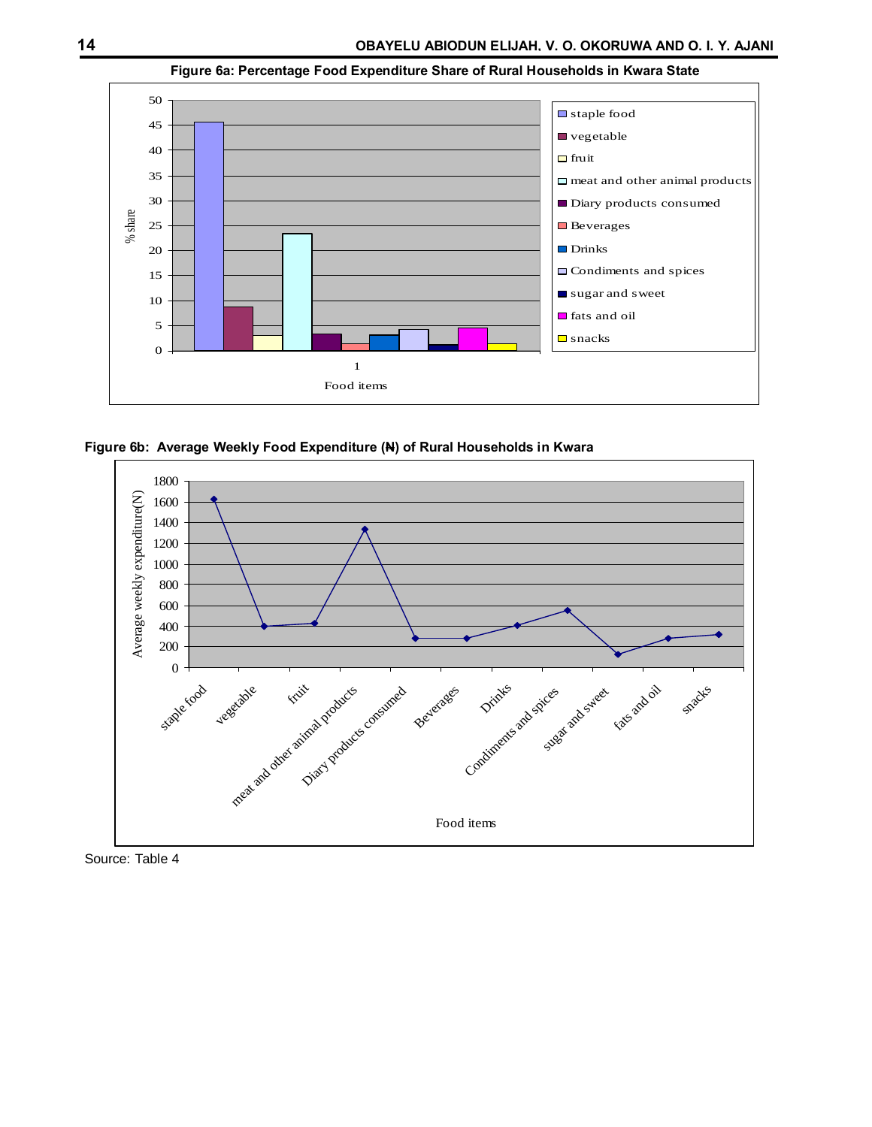

**Figure 6a: Percentage Food Expenditure Share of Rural Households in Kwara State**





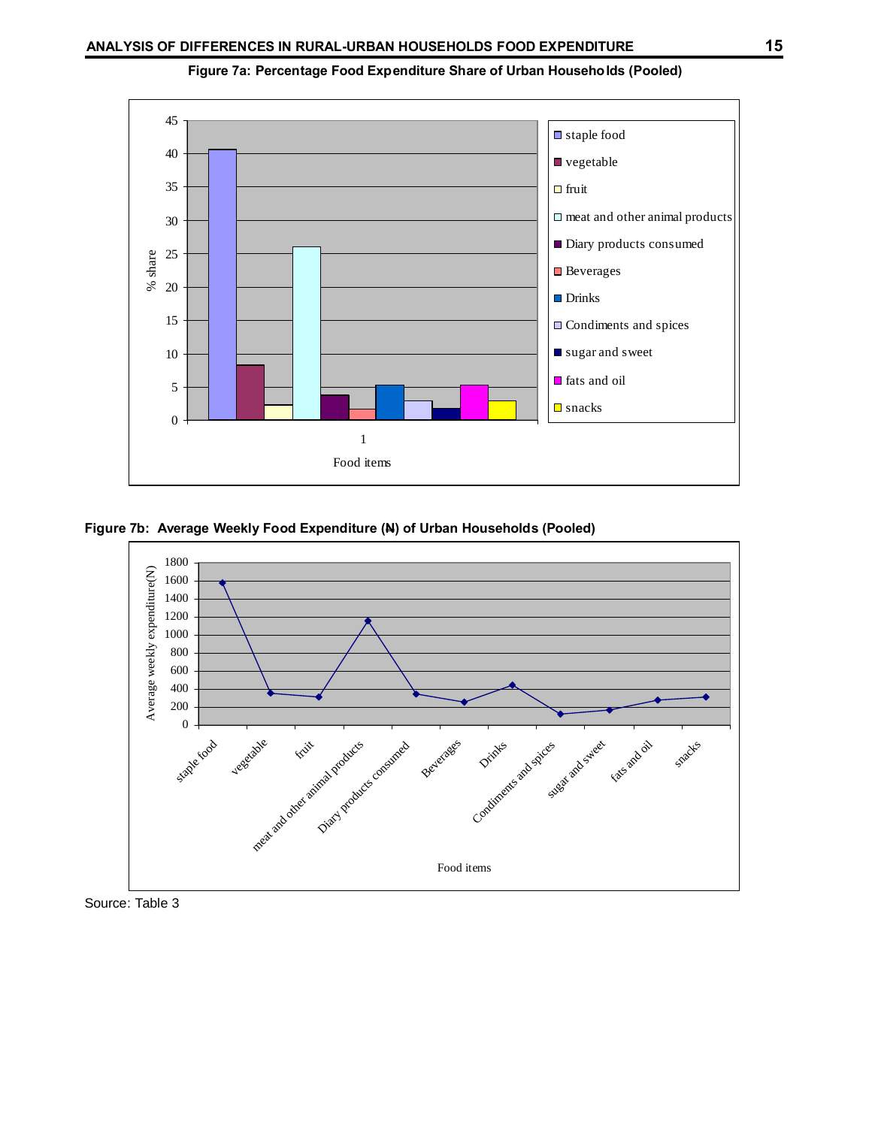

**Figure 7a: Percentage Food Expenditure Share of Urban Households (Pooled)**





Source: Table 3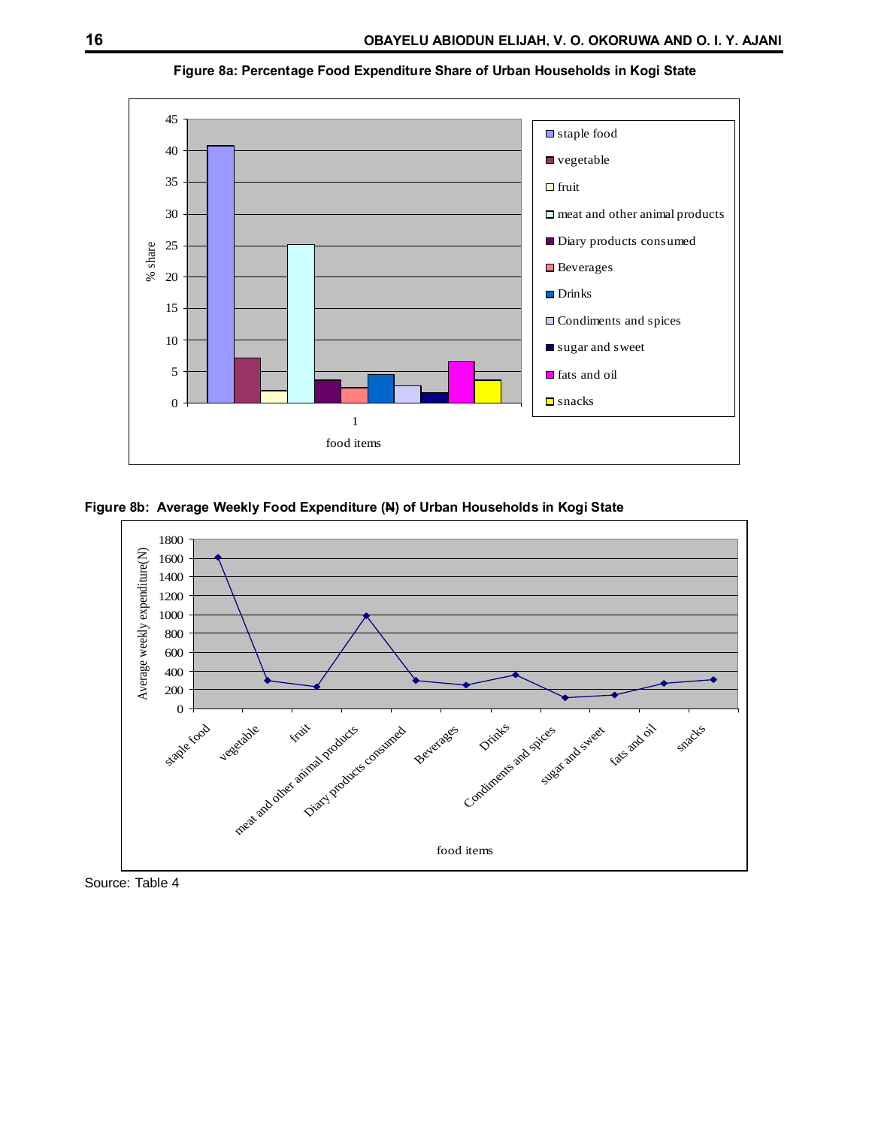

**Figure 8a: Percentage Food Expenditure Share of Urban Households in Kogi State**

**Figure 8b: Average Weekly Food Expenditure (N) of Urban Households in Kogi State**



Source: Table 4